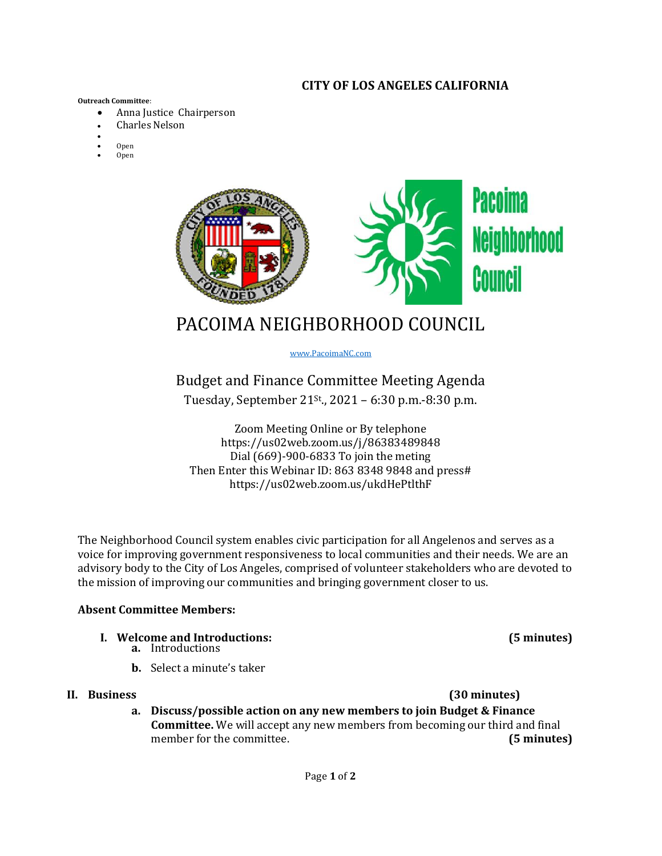### **CITY OF LOS ANGELES CALIFORNIA**

#### **Outreach Committee**:

- Anna Justice Chairperson
- **Charles Nelson**
- •
- Open
- Open



# PACOIMA NEIGHBORHOOD COUNCIL

www.PacoimaNC.com

## Budget and Finance Committee Meeting Agenda Tuesday, September 21<sup>st</sup>., 2021 – 6:30 p.m.-8:30 p.m.

Zoom Meeting Online or By telephone https://us02web.zoom.us/j/86383489848 Dial (669)-900-6833 To join the meting Then Enter this Webinar ID: 863 8348 9848 and press# https://us02web.zoom.us/ukdHePtlthF

The Neighborhood Council system enables civic participation for all Angelenos and serves as a voice for improving government responsiveness to local communities and their needs. We are an advisory body to the City of Los Angeles, comprised of volunteer stakeholders who are devoted to the mission of improving our communities and bringing government closer to us.

#### **Absent Committee Members:**

- **I. Welcome and Introductions: (5 minutes)**
	- **a.** Introductions
	- **b.** Select a minute's taker

#### **II. Business (30 minutes)**

**a. Discuss/possible action on any new members to join Budget & Finance Committee.** We will accept any new members from becoming our third and final member for the committee. **(5 minutes)**